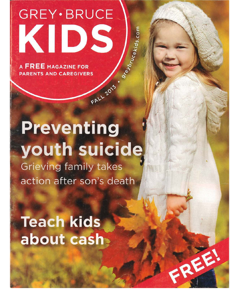**GREY** · BRUCE KIDS

**A FREE MAGAZINE FOR PARENTS AND CAREGIVERS** 

## Preventing youth suicide **Grieving family takes** action after son's death

FALL 2013

9reybrucekids.com

FREE!

**Teach kids** about cash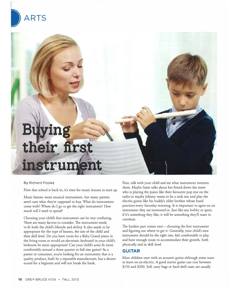# their first instrum

#### By Richard Popiez

**ARTS** 

Now that school is back in, it's time for music lessons to start up.

Music lessons mean musical instruments, but many parents aren't sure what they're supposed co buy. What do instruments come wich? Where do I go co get the right instrument? How much will I need to spend?

Choosing your child's first instrument can be very confusing. There are many factors to consider. The instrument needs to fit both the child's lifestyle and ability. It also needs to be appropriate for the type of lessons, the size of the child and their skill level. Do you have room for a Baby Grand piano in the living room or would an electronic keyboard in your child's bedroom be more appropriate? Can your child's arms fit more comfortably around a three-quarter or full-size guitar? *As* <sup>a</sup> parent or consumer, you're looking for an instrument chat is a quality product, built by a reputable manufacturer, has a decent sound for a beginner and will not break the bank.

First, talk with your child and see what instrument interests chem. Maybe Suzie talks about her friend down the street who is playing the piano like their favourite pop star on the radio or maybe Johnny wants co be a rock star and play the electric guitar like his buddy's older brother whose band practices every Saturday morning. It is important to agree on an instrument they are interested in. Just like any hobby or sport, if it's something they like, it will be something they'll want co continue.

The hardest part comes next - choosing the first instrument and figuring out where to get it. Generally, your child's new instrument should be the right size, feel comfortable co play and have enough room to accommodate their growth, both <sup>p</sup>hysically and in skill level.

#### **GUITAR**

Most children start with an acoustic guitar although some want to learn on an electric. A good starter guitar can cost between \$150 and \$300. Soft carry bags or hard shell cases are usually